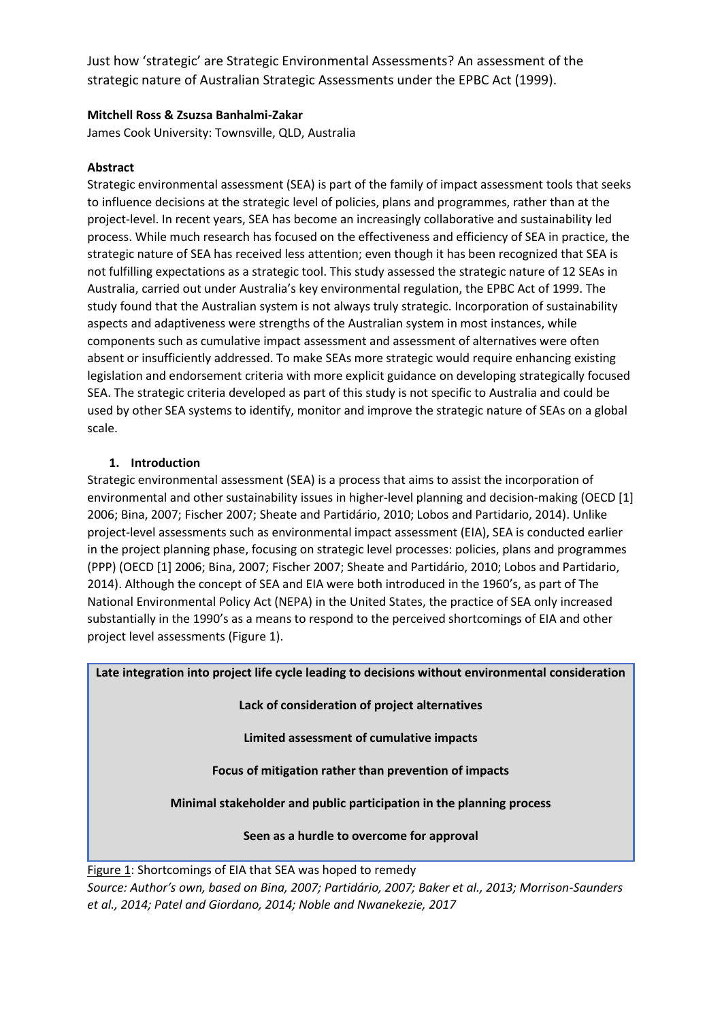Just how 'strategic' are Strategic Environmental Assessments? An assessment of the strategic nature of Australian Strategic Assessments under the EPBC Act (1999).

### **Mitchell Ross & Zsuzsa Banhalmi-Zakar**

James Cook University: Townsville, QLD, Australia

### **Abstract**

Strategic environmental assessment (SEA) is part of the family of impact assessment tools that seeks to influence decisions at the strategic level of policies, plans and programmes, rather than at the project-level. In recent years, SEA has become an increasingly collaborative and sustainability led process. While much research has focused on the effectiveness and efficiency of SEA in practice, the strategic nature of SEA has received less attention; even though it has been recognized that SEA is not fulfilling expectations as a strategic tool. This study assessed the strategic nature of 12 SEAs in Australia, carried out under Australia's key environmental regulation, the EPBC Act of 1999. The study found that the Australian system is not always truly strategic. Incorporation of sustainability aspects and adaptiveness were strengths of the Australian system in most instances, while components such as cumulative impact assessment and assessment of alternatives were often absent or insufficiently addressed. To make SEAs more strategic would require enhancing existing legislation and endorsement criteria with more explicit guidance on developing strategically focused SEA. The strategic criteria developed as part of this study is not specific to Australia and could be used by other SEA systems to identify, monitor and improve the strategic nature of SEAs on a global scale.

### **1. Introduction**

Strategic environmental assessment (SEA) is a process that aims to assist the incorporation of environmental and other sustainability issues in higher-level planning and decision-making (OECD [1] 2006; Bina, 2007; Fischer 2007; Sheate and Partidário, 2010; Lobos and Partidario, 2014). Unlike project-level assessments such as environmental impact assessment (EIA), SEA is conducted earlier in the project planning phase, focusing on strategic level processes: policies, plans and programmes (PPP) (OECD [1] 2006; Bina, 2007; Fischer 2007; Sheate and Partidário, 2010; Lobos and Partidario, 2014). Although the concept of SEA and EIA were both introduced in the 1960's, as part of The National Environmental Policy Act (NEPA) in the United States, the practice of SEA only increased substantially in the 1990's as a means to respond to the perceived shortcomings of EIA and other project level assessments (Figure 1).

**Late integration into project life cycle leading to decisions without environmental consideration**

**Lack of consideration of project alternatives**

**Limited assessment of cumulative impacts**

**Focus of mitigation rather than prevention of impacts**

**Minimal stakeholder and public participation in the planning process**

**Seen as a hurdle to overcome for approval**

Figure 1: Shortcomings of EIA that SEA was hoped to remedy *Source: Author's own, based on Bina, 2007; Partidário, 2007; Baker et al., 2013; Morrison-Saunders et al., 2014; Patel and Giordano, 2014; Noble and Nwanekezie, 2017*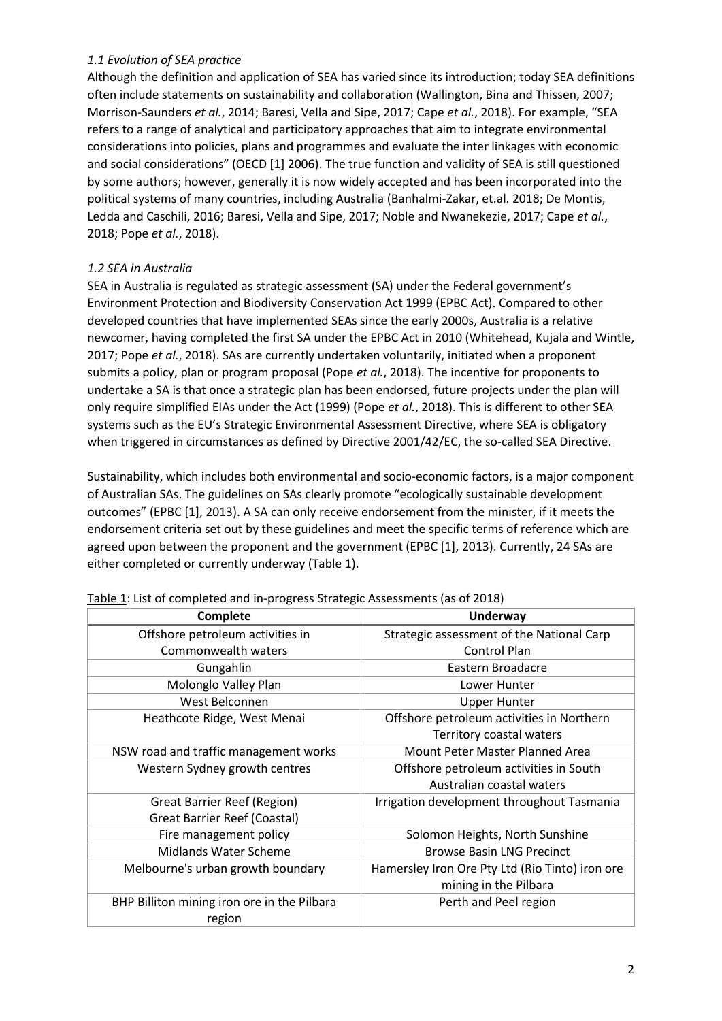# *1.1 Evolution of SEA practice*

Although the definition and application of SEA has varied since its introduction; today SEA definitions often include statements on sustainability and collaboration (Wallington, Bina and Thissen, 2007; Morrison-Saunders *et al.*, 2014; Baresi, Vella and Sipe, 2017; Cape *et al.*, 2018). For example, "SEA refers to a range of analytical and participatory approaches that aim to integrate environmental considerations into policies, plans and programmes and evaluate the inter linkages with economic and social considerations" (OECD [1] 2006). The true function and validity of SEA is still questioned by some authors; however, generally it is now widely accepted and has been incorporated into the political systems of many countries, including Australia (Banhalmi-Zakar, et.al. 2018; De Montis, Ledda and Caschili, 2016; Baresi, Vella and Sipe, 2017; Noble and Nwanekezie, 2017; Cape *et al.*, 2018; Pope *et al.*, 2018).

# *1.2 SEA in Australia*

SEA in Australia is regulated as strategic assessment (SA) under the Federal government's Environment Protection and Biodiversity Conservation Act 1999 (EPBC Act). Compared to other developed countries that have implemented SEAs since the early 2000s, Australia is a relative newcomer, having completed the first SA under the EPBC Act in 2010 (Whitehead, Kujala and Wintle, 2017; Pope *et al.*, 2018). SAs are currently undertaken voluntarily, initiated when a proponent submits a policy, plan or program proposal (Pope *et al.*, 2018). The incentive for proponents to undertake a SA is that once a strategic plan has been endorsed, future projects under the plan will only require simplified EIAs under the Act (1999) (Pope *et al.*, 2018). This is different to other SEA systems such as the EU's Strategic Environmental Assessment Directive, where SEA is obligatory when triggered in circumstances as defined by Directive 2001/42/EC, the so-called SEA Directive.

Sustainability, which includes both environmental and socio-economic factors, is a major component of Australian SAs. The guidelines on SAs clearly promote "ecologically sustainable development outcomes" (EPBC [1], 2013). A SA can only receive endorsement from the minister, if it meets the endorsement criteria set out by these guidelines and meet the specific terms of reference which are agreed upon between the proponent and the government (EPBC [1], 2013). Currently, 24 SAs are either completed or currently underway (Table 1).

| Complete                                    | Underway                                        |  |  |  |
|---------------------------------------------|-------------------------------------------------|--|--|--|
| Offshore petroleum activities in            | Strategic assessment of the National Carp       |  |  |  |
| Commonwealth waters                         | Control Plan                                    |  |  |  |
| Gungahlin                                   | Eastern Broadacre                               |  |  |  |
| Molonglo Valley Plan                        | Lower Hunter                                    |  |  |  |
| West Belconnen                              | <b>Upper Hunter</b>                             |  |  |  |
| Heathcote Ridge, West Menai                 | Offshore petroleum activities in Northern       |  |  |  |
|                                             | Territory coastal waters                        |  |  |  |
| NSW road and traffic management works       | Mount Peter Master Planned Area                 |  |  |  |
| Western Sydney growth centres               | Offshore petroleum activities in South          |  |  |  |
|                                             | Australian coastal waters                       |  |  |  |
| <b>Great Barrier Reef (Region)</b>          | Irrigation development throughout Tasmania      |  |  |  |
| Great Barrier Reef (Coastal)                |                                                 |  |  |  |
| Fire management policy                      | Solomon Heights, North Sunshine                 |  |  |  |
| <b>Midlands Water Scheme</b>                | <b>Browse Basin LNG Precinct</b>                |  |  |  |
| Melbourne's urban growth boundary           | Hamersley Iron Ore Pty Ltd (Rio Tinto) iron ore |  |  |  |
|                                             | mining in the Pilbara                           |  |  |  |
| BHP Billiton mining iron ore in the Pilbara | Perth and Peel region                           |  |  |  |
| region                                      |                                                 |  |  |  |

Table 1: List of completed and in-progress Strategic Assessments (as of 2018)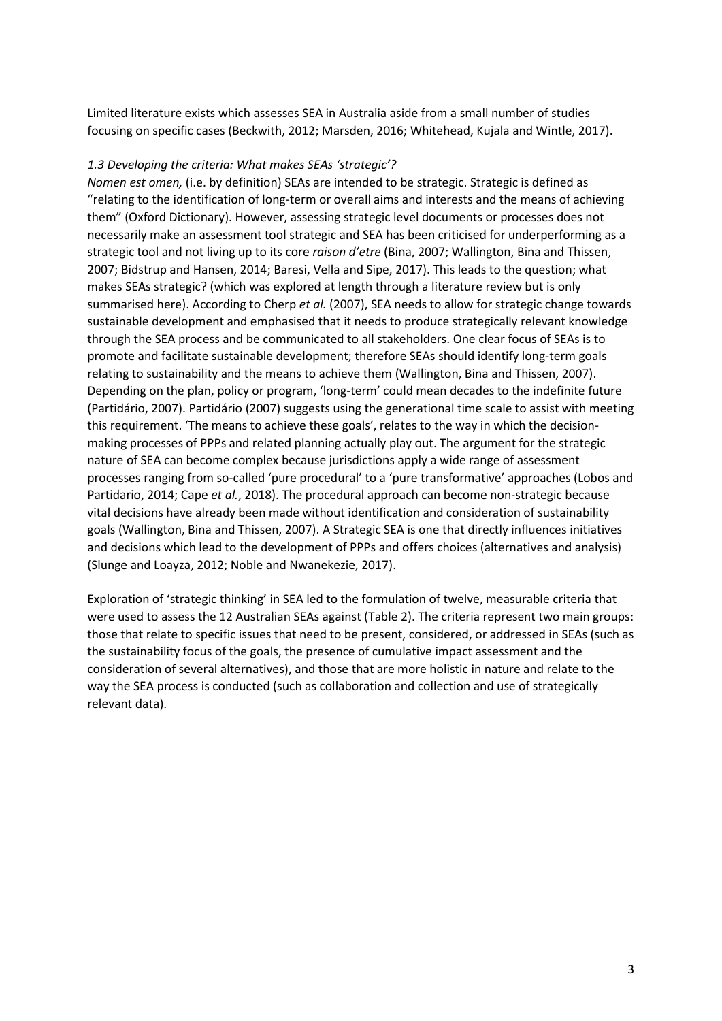Limited literature exists which assesses SEA in Australia aside from a small number of studies focusing on specific cases (Beckwith, 2012; Marsden, 2016; Whitehead, Kujala and Wintle, 2017).

#### *1.3 Developing the criteria: What makes SEAs 'strategic'?*

*Nomen est omen,* (i.e. by definition) SEAs are intended to be strategic. Strategic is defined as "relating to the identification of long-term or overall aims and interests and the means of achieving them" (Oxford Dictionary). However, assessing strategic level documents or processes does not necessarily make an assessment tool strategic and SEA has been criticised for underperforming as a strategic tool and not living up to its core *raison d'etre* (Bina, 2007; Wallington, Bina and Thissen, 2007; Bidstrup and Hansen, 2014; Baresi, Vella and Sipe, 2017). This leads to the question; what makes SEAs strategic? (which was explored at length through a literature review but is only summarised here). According to Cherp *et al.* (2007), SEA needs to allow for strategic change towards sustainable development and emphasised that it needs to produce strategically relevant knowledge through the SEA process and be communicated to all stakeholders. One clear focus of SEAs is to promote and facilitate sustainable development; therefore SEAs should identify long-term goals relating to sustainability and the means to achieve them (Wallington, Bina and Thissen, 2007). Depending on the plan, policy or program, 'long-term' could mean decades to the indefinite future (Partidário, 2007). Partidário (2007) suggests using the generational time scale to assist with meeting this requirement. 'The means to achieve these goals', relates to the way in which the decisionmaking processes of PPPs and related planning actually play out. The argument for the strategic nature of SEA can become complex because jurisdictions apply a wide range of assessment processes ranging from so-called 'pure procedural' to a 'pure transformative' approaches (Lobos and Partidario, 2014; Cape *et al.*, 2018). The procedural approach can become non-strategic because vital decisions have already been made without identification and consideration of sustainability goals (Wallington, Bina and Thissen, 2007). A Strategic SEA is one that directly influences initiatives and decisions which lead to the development of PPPs and offers choices (alternatives and analysis) (Slunge and Loayza, 2012; Noble and Nwanekezie, 2017).

Exploration of 'strategic thinking' in SEA led to the formulation of twelve, measurable criteria that were used to assess the 12 Australian SEAs against (Table 2). The criteria represent two main groups: those that relate to specific issues that need to be present, considered, or addressed in SEAs (such as the sustainability focus of the goals, the presence of cumulative impact assessment and the consideration of several alternatives), and those that are more holistic in nature and relate to the way the SEA process is conducted (such as collaboration and collection and use of strategically relevant data).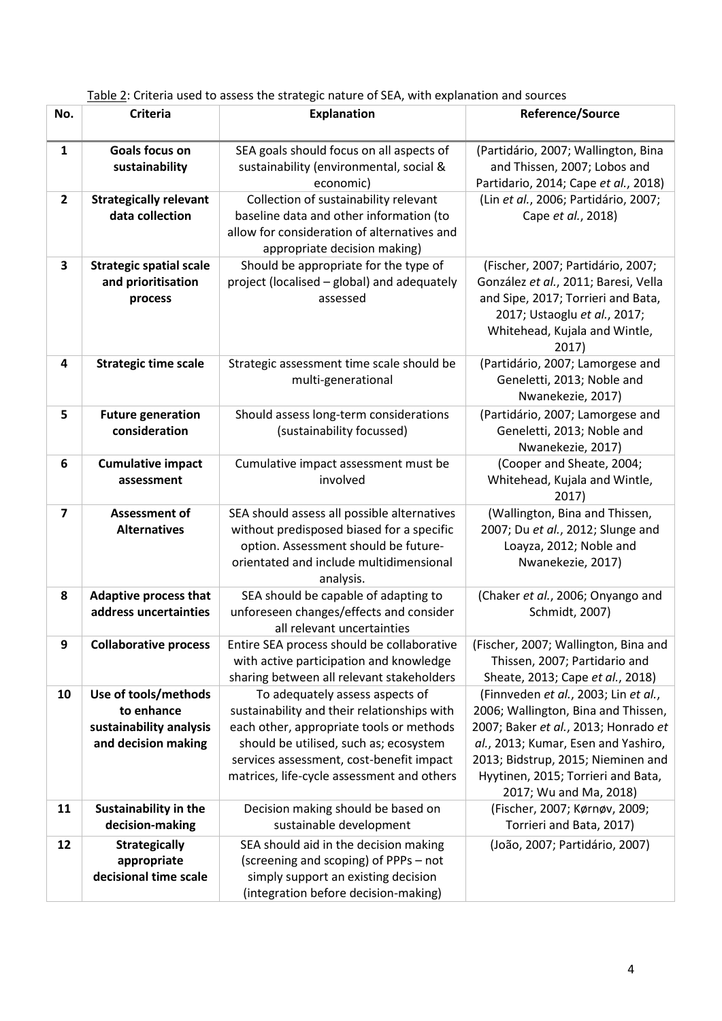| No.<br><b>Criteria</b><br><b>Explanation</b>                                                                 | <b>Reference/Source</b>                                                  |  |  |
|--------------------------------------------------------------------------------------------------------------|--------------------------------------------------------------------------|--|--|
| Goals focus on<br>SEA goals should focus on all aspects of<br>1                                              | (Partidário, 2007; Wallington, Bina                                      |  |  |
| sustainability<br>sustainability (environmental, social &                                                    | and Thissen, 2007; Lobos and                                             |  |  |
| economic)                                                                                                    | Partidario, 2014; Cape et al., 2018)                                     |  |  |
| Collection of sustainability relevant<br>$\mathbf{2}$<br><b>Strategically relevant</b>                       | (Lin et al., 2006; Partidário, 2007;                                     |  |  |
| data collection<br>baseline data and other information (to                                                   | Cape et al., 2018)                                                       |  |  |
| allow for consideration of alternatives and                                                                  |                                                                          |  |  |
| appropriate decision making)<br>3<br><b>Strategic spatial scale</b><br>Should be appropriate for the type of | (Fischer, 2007; Partidário, 2007;                                        |  |  |
| and prioritisation<br>project (localised - global) and adequately                                            | González et al., 2011; Baresi, Vella                                     |  |  |
| assessed<br>process                                                                                          | and Sipe, 2017; Torrieri and Bata,                                       |  |  |
|                                                                                                              | 2017; Ustaoglu et al., 2017;                                             |  |  |
|                                                                                                              | Whitehead, Kujala and Wintle,                                            |  |  |
| Strategic assessment time scale should be<br>4<br><b>Strategic time scale</b>                                | 2017)<br>(Partidário, 2007; Lamorgese and                                |  |  |
| multi-generational                                                                                           | Geneletti, 2013; Noble and                                               |  |  |
|                                                                                                              | Nwanekezie, 2017)                                                        |  |  |
| 5<br><b>Future generation</b><br>Should assess long-term considerations                                      | (Partidário, 2007; Lamorgese and                                         |  |  |
| consideration<br>(sustainability focussed)                                                                   | Geneletti, 2013; Noble and                                               |  |  |
| Cumulative impact assessment must be<br>6                                                                    | Nwanekezie, 2017)<br>(Cooper and Sheate, 2004;                           |  |  |
| <b>Cumulative impact</b><br>involved<br>assessment                                                           | Whitehead, Kujala and Wintle,                                            |  |  |
|                                                                                                              | 2017)                                                                    |  |  |
| $\overline{\mathbf{z}}$<br><b>Assessment of</b><br>SEA should assess all possible alternatives               | (Wallington, Bina and Thissen,                                           |  |  |
| <b>Alternatives</b><br>without predisposed biased for a specific                                             | 2007; Du et al., 2012; Slunge and                                        |  |  |
| option. Assessment should be future-<br>orientated and include multidimensional                              | Loayza, 2012; Noble and<br>Nwanekezie, 2017)                             |  |  |
| analysis.                                                                                                    |                                                                          |  |  |
| <b>Adaptive process that</b><br>SEA should be capable of adapting to<br>8                                    | (Chaker et al., 2006; Onyango and                                        |  |  |
| unforeseen changes/effects and consider<br>address uncertainties                                             | Schmidt, 2007)                                                           |  |  |
| all relevant uncertainties                                                                                   |                                                                          |  |  |
| Entire SEA process should be collaborative<br>9<br><b>Collaborative process</b>                              | (Fischer, 2007; Wallington, Bina and                                     |  |  |
| with active participation and knowledge<br>sharing between all relevant stakeholders                         | Thissen, 2007; Partidario and<br>Sheate, 2013; Cape et al., 2018)        |  |  |
| Use of tools/methods<br>To adequately assess aspects of<br>10                                                | (Finnveden et al., 2003; Lin et al.,                                     |  |  |
| to enhance<br>sustainability and their relationships with                                                    | 2006; Wallington, Bina and Thissen,                                      |  |  |
| sustainability analysis<br>each other, appropriate tools or methods                                          | 2007; Baker et al., 2013; Honrado et                                     |  |  |
| and decision making<br>should be utilised, such as; ecosystem                                                | al., 2013; Kumar, Esen and Yashiro,                                      |  |  |
| services assessment, cost-benefit impact<br>matrices, life-cycle assessment and others                       | 2013; Bidstrup, 2015; Nieminen and<br>Hyytinen, 2015; Torrieri and Bata, |  |  |
|                                                                                                              | 2017; Wu and Ma, 2018)                                                   |  |  |
| <b>Sustainability in the</b><br>Decision making should be based on<br>11                                     | (Fischer, 2007; Kørnøv, 2009;                                            |  |  |
| decision-making<br>sustainable development                                                                   | Torrieri and Bata, 2017)                                                 |  |  |
| 12<br>SEA should aid in the decision making<br><b>Strategically</b>                                          | (João, 2007; Partidário, 2007)                                           |  |  |
| appropriate<br>(screening and scoping) of PPPs - not                                                         |                                                                          |  |  |
| decisional time scale<br>simply support an existing decision                                                 |                                                                          |  |  |

Table 2: Criteria used to assess the strategic nature of SEA, with explanation and sources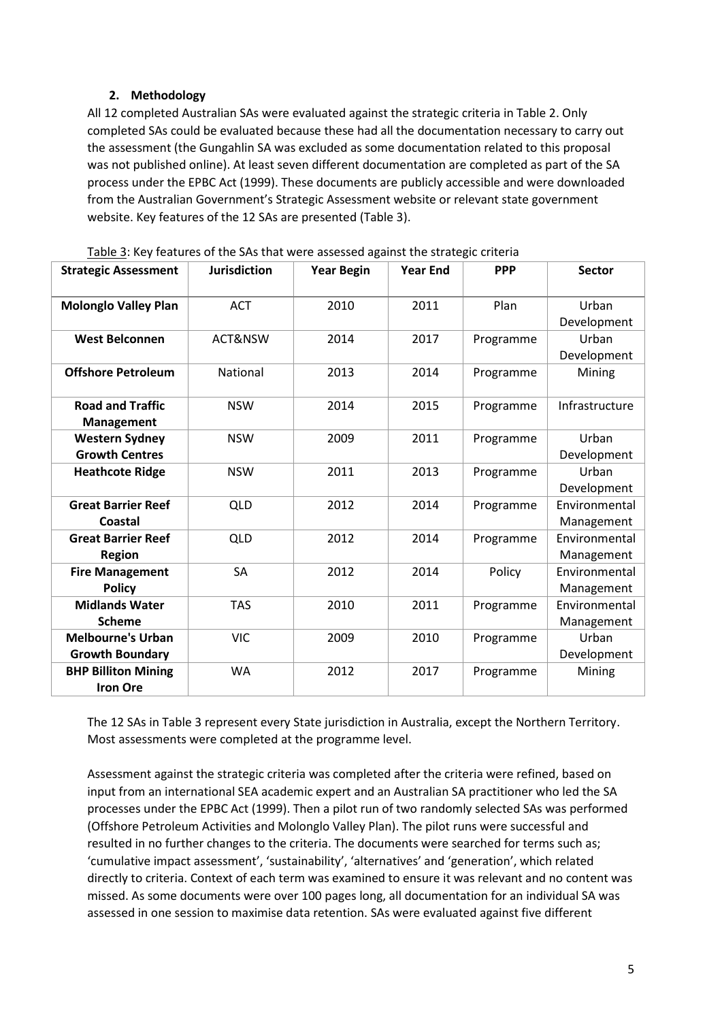# **2. Methodology**

All 12 completed Australian SAs were evaluated against the strategic criteria in Table 2. Only completed SAs could be evaluated because these had all the documentation necessary to carry out the assessment (the Gungahlin SA was excluded as some documentation related to this proposal was not published online). At least seven different documentation are completed as part of the SA process under the EPBC Act (1999). These documents are publicly accessible and were downloaded from the Australian Government's Strategic Assessment website or relevant state government website. Key features of the 12 SAs are presented (Table 3).

| <b>Strategic Assessment</b>                        | <b>Jurisdiction</b> | <b>Year Begin</b> | <b>Year End</b> | <b>PPP</b> | <b>Sector</b>               |
|----------------------------------------------------|---------------------|-------------------|-----------------|------------|-----------------------------|
| <b>Molonglo Valley Plan</b>                        | <b>ACT</b>          | 2010              | 2011            | Plan       | Urban<br>Development        |
| <b>West Belconnen</b>                              | ACT&NSW             | 2014              | 2017            | Programme  | Urban<br>Development        |
| <b>Offshore Petroleum</b>                          | National            | 2013              | 2014            | Programme  | Mining                      |
| <b>Road and Traffic</b><br><b>Management</b>       | <b>NSW</b>          | 2014              | 2015            | Programme  | Infrastructure              |
| <b>Western Sydney</b><br><b>Growth Centres</b>     | <b>NSW</b>          | 2009              | 2011            | Programme  | Urban<br>Development        |
| <b>Heathcote Ridge</b>                             | <b>NSW</b>          | 2011              | 2013            | Programme  | Urban<br>Development        |
| <b>Great Barrier Reef</b><br>Coastal               | QLD                 | 2012              | 2014            | Programme  | Environmental<br>Management |
| <b>Great Barrier Reef</b><br><b>Region</b>         | <b>QLD</b>          | 2012              | 2014            | Programme  | Environmental<br>Management |
| <b>Fire Management</b><br><b>Policy</b>            | SA                  | 2012              | 2014            | Policy     | Environmental<br>Management |
| <b>Midlands Water</b><br><b>Scheme</b>             | <b>TAS</b>          | 2010              | 2011            | Programme  | Environmental<br>Management |
| <b>Melbourne's Urban</b><br><b>Growth Boundary</b> | <b>VIC</b>          | 2009              | 2010            | Programme  | Urban<br>Development        |
| <b>BHP Billiton Mining</b><br><b>Iron Ore</b>      | <b>WA</b>           | 2012              | 2017            | Programme  | Mining                      |

Table 3: Key features of the SAs that were assessed against the strategic criteria

The 12 SAs in Table 3 represent every State jurisdiction in Australia, except the Northern Territory. Most assessments were completed at the programme level.

Assessment against the strategic criteria was completed after the criteria were refined, based on input from an international SEA academic expert and an Australian SA practitioner who led the SA processes under the EPBC Act (1999). Then a pilot run of two randomly selected SAs was performed (Offshore Petroleum Activities and Molonglo Valley Plan). The pilot runs were successful and resulted in no further changes to the criteria. The documents were searched for terms such as; 'cumulative impact assessment', 'sustainability', 'alternatives' and 'generation', which related directly to criteria. Context of each term was examined to ensure it was relevant and no content was missed. As some documents were over 100 pages long, all documentation for an individual SA was assessed in one session to maximise data retention. SAs were evaluated against five different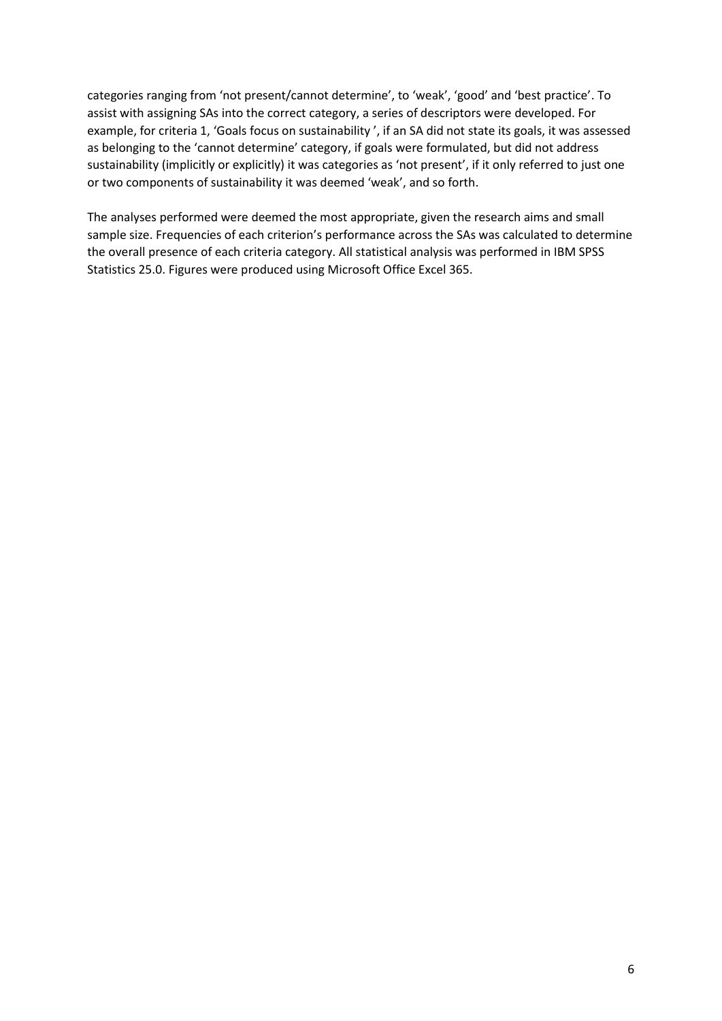categories ranging from 'not present/cannot determine', to 'weak', 'good' and 'best practice'. To assist with assigning SAs into the correct category, a series of descriptors were developed. For example, for criteria 1, 'Goals focus on sustainability ', if an SA did not state its goals, it was assessed as belonging to the 'cannot determine' category, if goals were formulated, but did not address sustainability (implicitly or explicitly) it was categories as 'not present', if it only referred to just one or two components of sustainability it was deemed 'weak', and so forth.

The analyses performed were deemed the most appropriate, given the research aims and small sample size. Frequencies of each criterion's performance across the SAs was calculated to determine the overall presence of each criteria category. All statistical analysis was performed in IBM SPSS Statistics 25.0. Figures were produced using Microsoft Office Excel 365.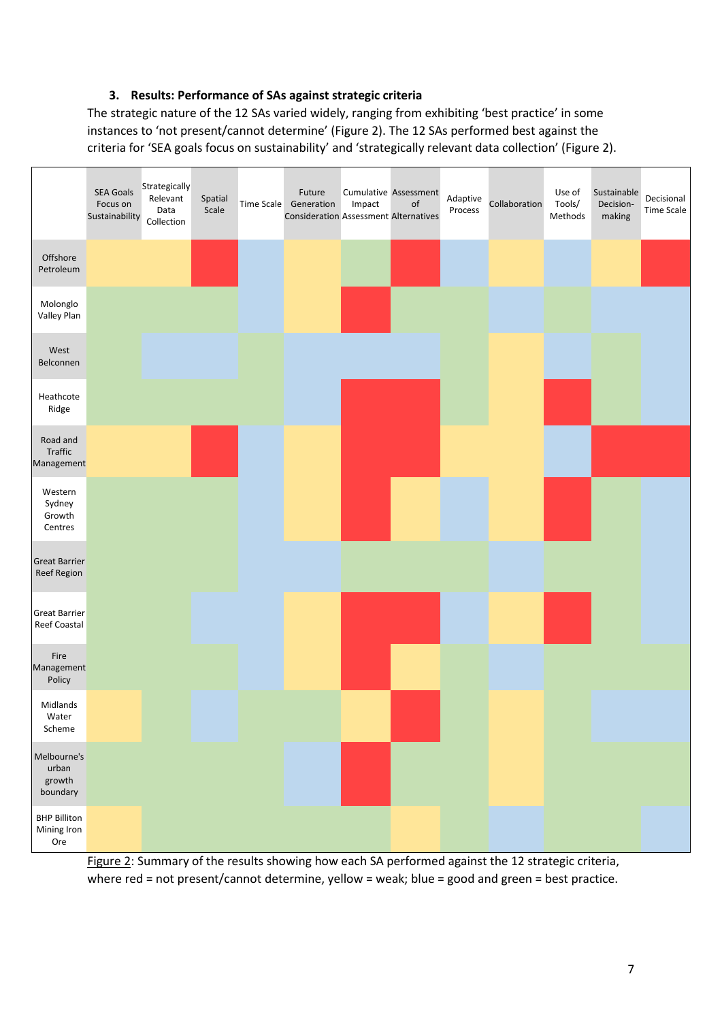### **3. Results: Performance of SAs against strategic criteria**

The strategic nature of the 12 SAs varied widely, ranging from exhibiting 'best practice' in some instances to 'not present/cannot determine' (Figure 2). The 12 SAs performed best against the criteria for 'SEA goals focus on sustainability' and 'strategically relevant data collection' (Figure 2).



Figure 2: Summary of the results showing how each SA performed against the 12 strategic criteria, where red = not present/cannot determine, yellow = weak; blue = good and green = best practice.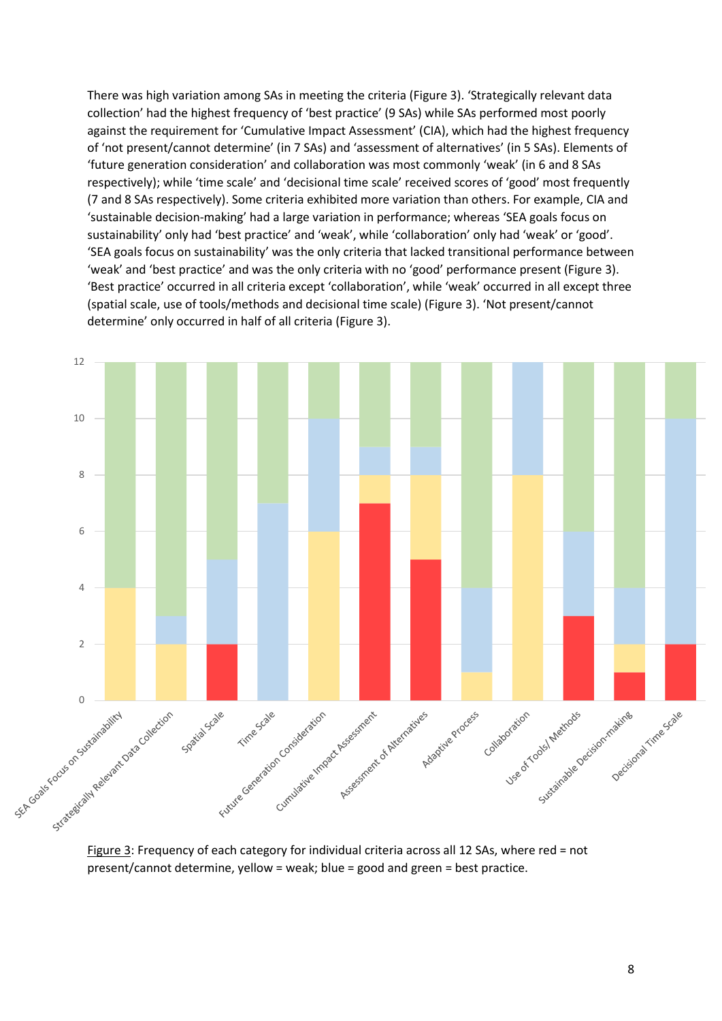There was high variation among SAs in meeting the criteria (Figure 3). 'Strategically relevant data collection' had the highest frequency of 'best practice' (9 SAs) while SAs performed most poorly against the requirement for 'Cumulative Impact Assessment' (CIA), which had the highest frequency of 'not present/cannot determine' (in 7 SAs) and 'assessment of alternatives' (in 5 SAs). Elements of 'future generation consideration' and collaboration was most commonly 'weak' (in 6 and 8 SAs respectively); while 'time scale' and 'decisional time scale' received scores of 'good' most frequently (7 and 8 SAs respectively). Some criteria exhibited more variation than others. For example, CIA and 'sustainable decision-making' had a large variation in performance; whereas 'SEA goals focus on sustainability' only had 'best practice' and 'weak', while 'collaboration' only had 'weak' or 'good'. 'SEA goals focus on sustainability' was the only criteria that lacked transitional performance between 'weak' and 'best practice' and was the only criteria with no 'good' performance present (Figure 3). 'Best practice' occurred in all criteria except 'collaboration', while 'weak' occurred in all except three (spatial scale, use of tools/methods and decisional time scale) (Figure 3). 'Not present/cannot determine' only occurred in half of all criteria (Figure 3).



Figure 3: Frequency of each category for individual criteria across all 12 SAs, where red = not present/cannot determine, yellow = weak; blue = good and green = best practice.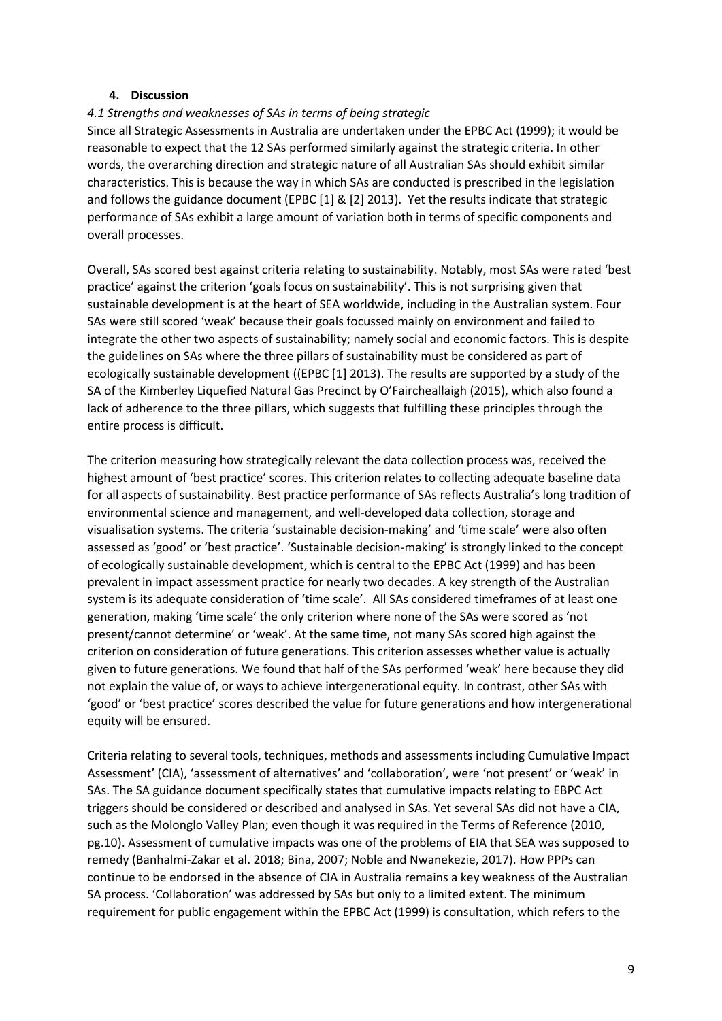#### **4. Discussion**

# *4.1 Strengths and weaknesses of SAs in terms of being strategic*

Since all Strategic Assessments in Australia are undertaken under the EPBC Act (1999); it would be reasonable to expect that the 12 SAs performed similarly against the strategic criteria. In other words, the overarching direction and strategic nature of all Australian SAs should exhibit similar characteristics. This is because the way in which SAs are conducted is prescribed in the legislation and follows the guidance document (EPBC [1] & [2] 2013). Yet the results indicate that strategic performance of SAs exhibit a large amount of variation both in terms of specific components and overall processes.

Overall, SAs scored best against criteria relating to sustainability. Notably, most SAs were rated 'best practice' against the criterion 'goals focus on sustainability'. This is not surprising given that sustainable development is at the heart of SEA worldwide, including in the Australian system. Four SAs were still scored 'weak' because their goals focussed mainly on environment and failed to integrate the other two aspects of sustainability; namely social and economic factors. This is despite the guidelines on SAs where the three pillars of sustainability must be considered as part of ecologically sustainable development ((EPBC [1] 2013). The results are supported by a study of the SA of the Kimberley Liquefied Natural Gas Precinct by O'Faircheallaigh (2015), which also found a lack of adherence to the three pillars, which suggests that fulfilling these principles through the entire process is difficult.

The criterion measuring how strategically relevant the data collection process was, received the highest amount of 'best practice' scores. This criterion relates to collecting adequate baseline data for all aspects of sustainability. Best practice performance of SAs reflects Australia's long tradition of environmental science and management, and well-developed data collection, storage and visualisation systems. The criteria 'sustainable decision-making' and 'time scale' were also often assessed as 'good' or 'best practice'. 'Sustainable decision-making' is strongly linked to the concept of ecologically sustainable development, which is central to the EPBC Act (1999) and has been prevalent in impact assessment practice for nearly two decades. A key strength of the Australian system is its adequate consideration of 'time scale'. All SAs considered timeframes of at least one generation, making 'time scale' the only criterion where none of the SAs were scored as 'not present/cannot determine' or 'weak'. At the same time, not many SAs scored high against the criterion on consideration of future generations. This criterion assesses whether value is actually given to future generations. We found that half of the SAs performed 'weak' here because they did not explain the value of, or ways to achieve intergenerational equity. In contrast, other SAs with 'good' or 'best practice' scores described the value for future generations and how intergenerational equity will be ensured.

Criteria relating to several tools, techniques, methods and assessments including Cumulative Impact Assessment' (CIA), 'assessment of alternatives' and 'collaboration', were 'not present' or 'weak' in SAs. The SA guidance document specifically states that cumulative impacts relating to EBPC Act triggers should be considered or described and analysed in SAs. Yet several SAs did not have a CIA, such as the Molonglo Valley Plan; even though it was required in the Terms of Reference (2010, pg.10). Assessment of cumulative impacts was one of the problems of EIA that SEA was supposed to remedy (Banhalmi-Zakar et al. 2018; Bina, 2007; Noble and Nwanekezie, 2017). How PPPs can continue to be endorsed in the absence of CIA in Australia remains a key weakness of the Australian SA process. 'Collaboration' was addressed by SAs but only to a limited extent. The minimum requirement for public engagement within the EPBC Act (1999) is consultation, which refers to the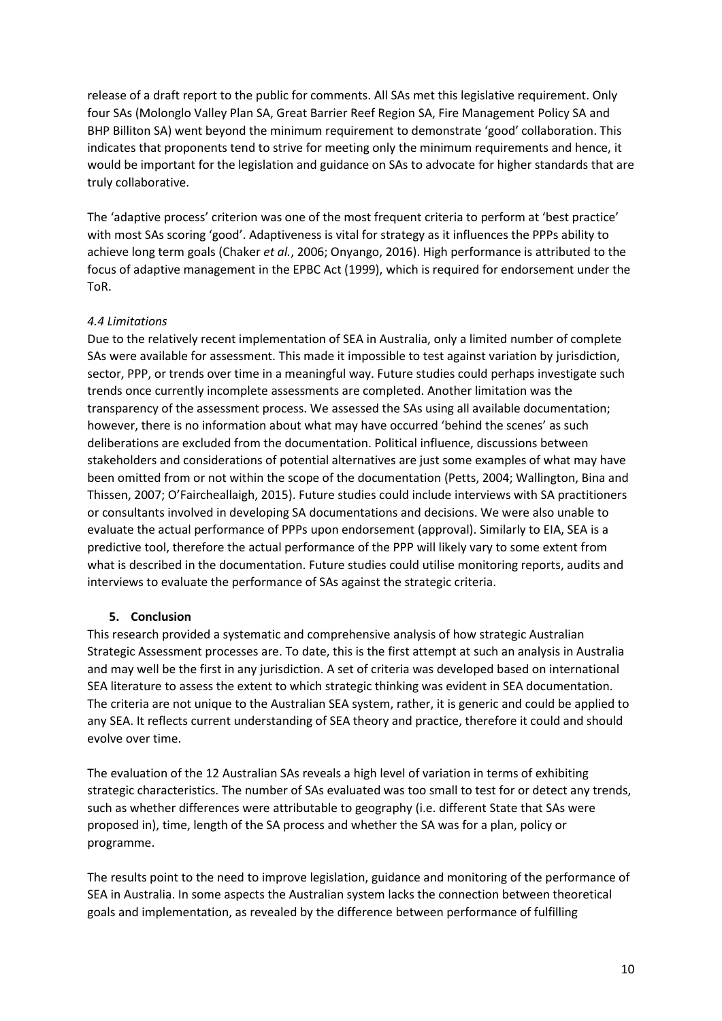release of a draft report to the public for comments. All SAs met this legislative requirement. Only four SAs (Molonglo Valley Plan SA, Great Barrier Reef Region SA, Fire Management Policy SA and BHP Billiton SA) went beyond the minimum requirement to demonstrate 'good' collaboration. This indicates that proponents tend to strive for meeting only the minimum requirements and hence, it would be important for the legislation and guidance on SAs to advocate for higher standards that are truly collaborative.

The 'adaptive process' criterion was one of the most frequent criteria to perform at 'best practice' with most SAs scoring 'good'. Adaptiveness is vital for strategy as it influences the PPPs ability to achieve long term goals (Chaker *et al.*, 2006; Onyango, 2016). High performance is attributed to the focus of adaptive management in the EPBC Act (1999), which is required for endorsement under the ToR.

# *4.4 Limitations*

Due to the relatively recent implementation of SEA in Australia, only a limited number of complete SAs were available for assessment. This made it impossible to test against variation by jurisdiction, sector, PPP, or trends over time in a meaningful way. Future studies could perhaps investigate such trends once currently incomplete assessments are completed. Another limitation was the transparency of the assessment process. We assessed the SAs using all available documentation; however, there is no information about what may have occurred 'behind the scenes' as such deliberations are excluded from the documentation. Political influence, discussions between stakeholders and considerations of potential alternatives are just some examples of what may have been omitted from or not within the scope of the documentation (Petts, 2004; Wallington, Bina and Thissen, 2007; O'Faircheallaigh, 2015). Future studies could include interviews with SA practitioners or consultants involved in developing SA documentations and decisions. We were also unable to evaluate the actual performance of PPPs upon endorsement (approval). Similarly to EIA, SEA is a predictive tool, therefore the actual performance of the PPP will likely vary to some extent from what is described in the documentation. Future studies could utilise monitoring reports, audits and interviews to evaluate the performance of SAs against the strategic criteria.

#### **5. Conclusion**

This research provided a systematic and comprehensive analysis of how strategic Australian Strategic Assessment processes are. To date, this is the first attempt at such an analysis in Australia and may well be the first in any jurisdiction. A set of criteria was developed based on international SEA literature to assess the extent to which strategic thinking was evident in SEA documentation. The criteria are not unique to the Australian SEA system, rather, it is generic and could be applied to any SEA. It reflects current understanding of SEA theory and practice, therefore it could and should evolve over time.

The evaluation of the 12 Australian SAs reveals a high level of variation in terms of exhibiting strategic characteristics. The number of SAs evaluated was too small to test for or detect any trends, such as whether differences were attributable to geography (i.e. different State that SAs were proposed in), time, length of the SA process and whether the SA was for a plan, policy or programme.

The results point to the need to improve legislation, guidance and monitoring of the performance of SEA in Australia. In some aspects the Australian system lacks the connection between theoretical goals and implementation, as revealed by the difference between performance of fulfilling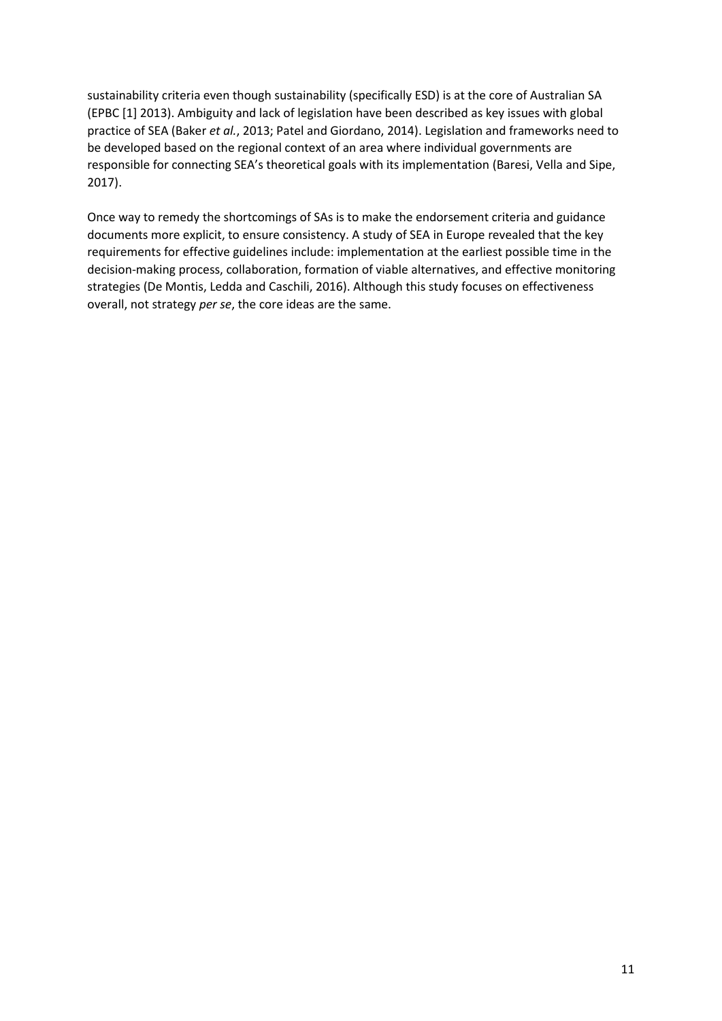sustainability criteria even though sustainability (specifically ESD) is at the core of Australian SA (EPBC [1] 2013). Ambiguity and lack of legislation have been described as key issues with global practice of SEA (Baker *et al.*, 2013; Patel and Giordano, 2014). Legislation and frameworks need to be developed based on the regional context of an area where individual governments are responsible for connecting SEA's theoretical goals with its implementation (Baresi, Vella and Sipe, 2017).

Once way to remedy the shortcomings of SAs is to make the endorsement criteria and guidance documents more explicit, to ensure consistency. A study of SEA in Europe revealed that the key requirements for effective guidelines include: implementation at the earliest possible time in the decision-making process, collaboration, formation of viable alternatives, and effective monitoring strategies (De Montis, Ledda and Caschili, 2016). Although this study focuses on effectiveness overall, not strategy *per se*, the core ideas are the same.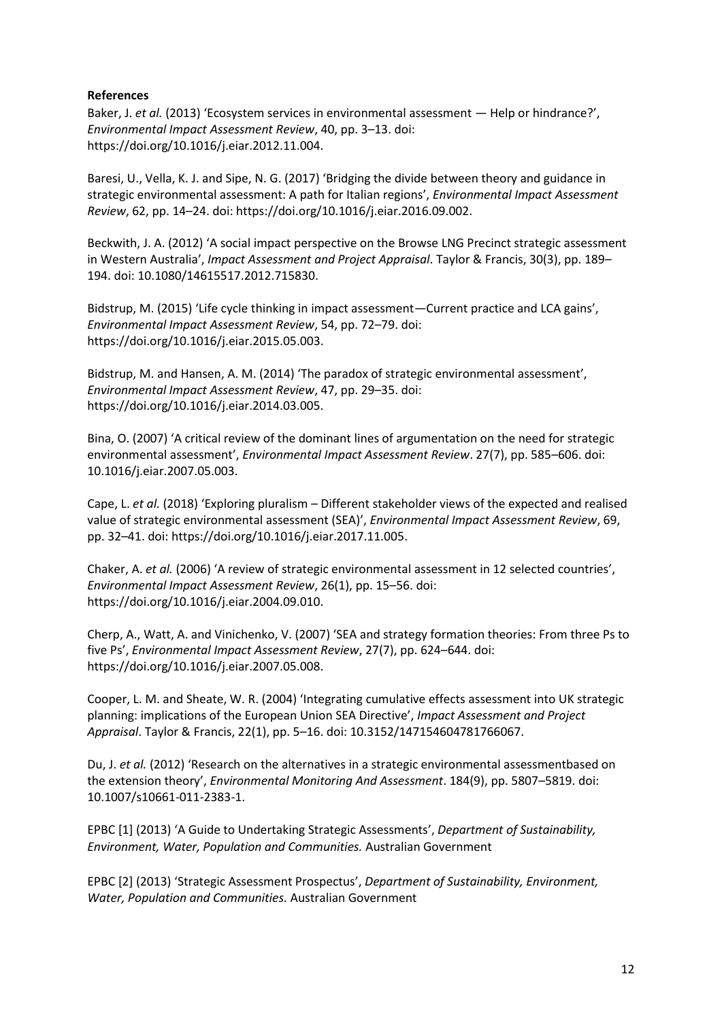### **References**

Baker, J. *et al.* (2013) 'Ecosystem services in environmental assessment - Help or hindrance?', *Environmental Impact Assessment Review*, 40, pp. 3–13. doi: https://doi.org/10.1016/j.eiar.2012.11.004.

Baresi, U., Vella, K. J. and Sipe, N. G. (2017) 'Bridging the divide between theory and guidance in strategic environmental assessment: A path for Italian regions', *Environmental Impact Assessment Review*, 62, pp. 14–24. doi: https://doi.org/10.1016/j.eiar.2016.09.002.

Beckwith, J. A. (2012) 'A social impact perspective on the Browse LNG Precinct strategic assessment in Western Australia', *Impact Assessment and Project Appraisal*. Taylor & Francis, 30(3), pp. 189– 194. doi: 10.1080/14615517.2012.715830.

Bidstrup, M. (2015) 'Life cycle thinking in impact assessment—Current practice and LCA gains', *Environmental Impact Assessment Review*, 54, pp. 72–79. doi: https://doi.org/10.1016/j.eiar.2015.05.003.

Bidstrup, M. and Hansen, A. M. (2014) 'The paradox of strategic environmental assessment', *Environmental Impact Assessment Review*, 47, pp. 29–35. doi: https://doi.org/10.1016/j.eiar.2014.03.005.

Bina, O. (2007) 'A critical review of the dominant lines of argumentation on the need for strategic environmental assessment', *Environmental Impact Assessment Review*. 27(7), pp. 585–606. doi: 10.1016/j.eiar.2007.05.003.

Cape, L. *et al.* (2018) 'Exploring pluralism – Different stakeholder views of the expected and realised value of strategic environmental assessment (SEA)', *Environmental Impact Assessment Review*, 69, pp. 32–41. doi: https://doi.org/10.1016/j.eiar.2017.11.005.

Chaker, A. *et al.* (2006) 'A review of strategic environmental assessment in 12 selected countries', *Environmental Impact Assessment Review*, 26(1), pp. 15–56. doi: https://doi.org/10.1016/j.eiar.2004.09.010.

Cherp, A., Watt, A. and Vinichenko, V. (2007) 'SEA and strategy formation theories: From three Ps to five Ps', *Environmental Impact Assessment Review*, 27(7), pp. 624–644. doi: https://doi.org/10.1016/j.eiar.2007.05.008.

Cooper, L. M. and Sheate, W. R. (2004) 'Integrating cumulative effects assessment into UK strategic planning: implications of the European Union SEA Directive', *Impact Assessment and Project Appraisal*. Taylor & Francis, 22(1), pp. 5–16. doi: 10.3152/147154604781766067.

Du, J. *et al.* (2012) 'Research on the alternatives in a strategic environmental assessmentbased on the extension theory', *Environmental Monitoring And Assessment*. 184(9), pp. 5807–5819. doi: 10.1007/s10661-011-2383-1.

EPBC [1] (2013) 'A Guide to Undertaking Strategic Assessments', *Department of Sustainability, Environment, Water, Population and Communities.* Australian Government

EPBC [2] (2013) 'Strategic Assessment Prospectus', *Department of Sustainability, Environment, Water, Population and Communities.* Australian Government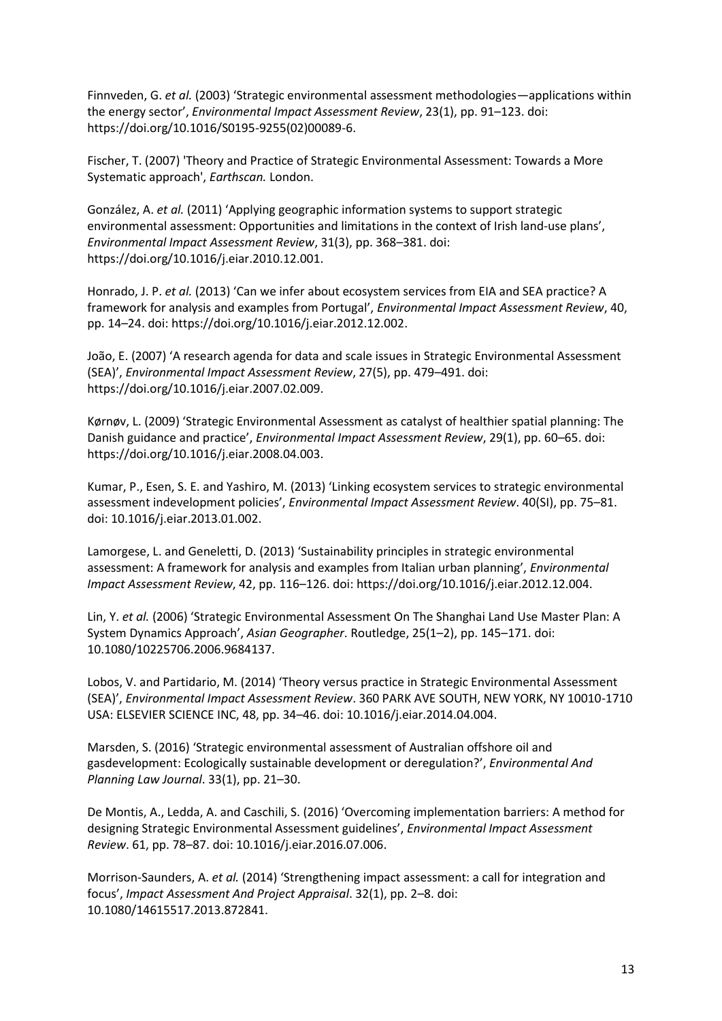Finnveden, G. *et al.* (2003) 'Strategic environmental assessment methodologies—applications within the energy sector', *Environmental Impact Assessment Review*, 23(1), pp. 91–123. doi: https://doi.org/10.1016/S0195-9255(02)00089-6.

Fischer, T. (2007) 'Theory and Practice of Strategic Environmental Assessment: Towards a More Systematic approach', *Earthscan.* London.

González, A. *et al.* (2011) 'Applying geographic information systems to support strategic environmental assessment: Opportunities and limitations in the context of Irish land-use plans', *Environmental Impact Assessment Review*, 31(3), pp. 368–381. doi: https://doi.org/10.1016/j.eiar.2010.12.001.

Honrado, J. P. *et al.* (2013) 'Can we infer about ecosystem services from EIA and SEA practice? A framework for analysis and examples from Portugal', *Environmental Impact Assessment Review*, 40, pp. 14–24. doi: https://doi.org/10.1016/j.eiar.2012.12.002.

João, E. (2007) 'A research agenda for data and scale issues in Strategic Environmental Assessment (SEA)', *Environmental Impact Assessment Review*, 27(5), pp. 479–491. doi: https://doi.org/10.1016/j.eiar.2007.02.009.

Kørnøv, L. (2009) 'Strategic Environmental Assessment as catalyst of healthier spatial planning: The Danish guidance and practice', *Environmental Impact Assessment Review*, 29(1), pp. 60–65. doi: https://doi.org/10.1016/j.eiar.2008.04.003.

Kumar, P., Esen, S. E. and Yashiro, M. (2013) 'Linking ecosystem services to strategic environmental assessment indevelopment policies', *Environmental Impact Assessment Review*. 40(SI), pp. 75–81. doi: 10.1016/j.eiar.2013.01.002.

Lamorgese, L. and Geneletti, D. (2013) 'Sustainability principles in strategic environmental assessment: A framework for analysis and examples from Italian urban planning', *Environmental Impact Assessment Review*, 42, pp. 116–126. doi: https://doi.org/10.1016/j.eiar.2012.12.004.

Lin, Y. *et al.* (2006) 'Strategic Environmental Assessment On The Shanghai Land Use Master Plan: A System Dynamics Approach', *Asian Geographer*. Routledge, 25(1–2), pp. 145–171. doi: 10.1080/10225706.2006.9684137.

Lobos, V. and Partidario, M. (2014) 'Theory versus practice in Strategic Environmental Assessment (SEA)', *Environmental Impact Assessment Review*. 360 PARK AVE SOUTH, NEW YORK, NY 10010-1710 USA: ELSEVIER SCIENCE INC, 48, pp. 34–46. doi: 10.1016/j.eiar.2014.04.004.

Marsden, S. (2016) 'Strategic environmental assessment of Australian offshore oil and gasdevelopment: Ecologically sustainable development or deregulation?', *Environmental And Planning Law Journal*. 33(1), pp. 21–30.

De Montis, A., Ledda, A. and Caschili, S. (2016) 'Overcoming implementation barriers: A method for designing Strategic Environmental Assessment guidelines', *Environmental Impact Assessment Review*. 61, pp. 78–87. doi: 10.1016/j.eiar.2016.07.006.

Morrison-Saunders, A. *et al.* (2014) 'Strengthening impact assessment: a call for integration and focus', *Impact Assessment And Project Appraisal*. 32(1), pp. 2–8. doi: 10.1080/14615517.2013.872841.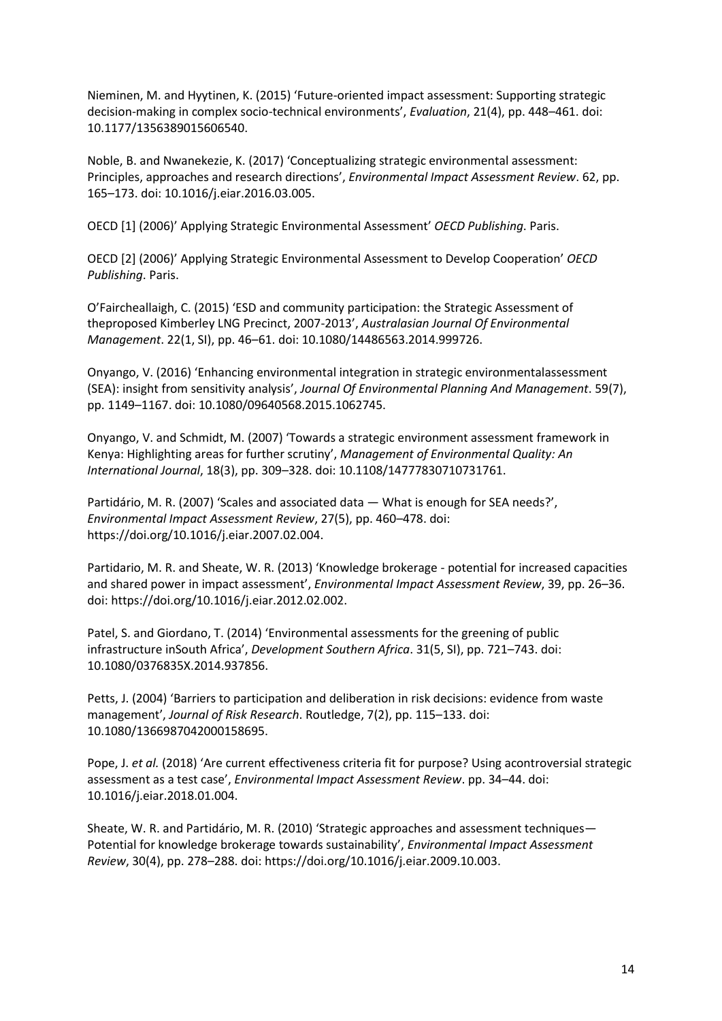Nieminen, M. and Hyytinen, K. (2015) 'Future-oriented impact assessment: Supporting strategic decision-making in complex socio-technical environments', *Evaluation*, 21(4), pp. 448–461. doi: 10.1177/1356389015606540.

Noble, B. and Nwanekezie, K. (2017) 'Conceptualizing strategic environmental assessment: Principles, approaches and research directions', *Environmental Impact Assessment Review*. 62, pp. 165–173. doi: 10.1016/j.eiar.2016.03.005.

OECD [1] (2006)' Applying Strategic Environmental Assessment' *OECD Publishing*. Paris.

OECD [2] (2006)' Applying Strategic Environmental Assessment to Develop Cooperation' *OECD Publishing*. Paris.

O'Faircheallaigh, C. (2015) 'ESD and community participation: the Strategic Assessment of theproposed Kimberley LNG Precinct, 2007-2013', *Australasian Journal Of Environmental Management*. 22(1, SI), pp. 46–61. doi: 10.1080/14486563.2014.999726.

Onyango, V. (2016) 'Enhancing environmental integration in strategic environmentalassessment (SEA): insight from sensitivity analysis', *Journal Of Environmental Planning And Management*. 59(7), pp. 1149–1167. doi: 10.1080/09640568.2015.1062745.

Onyango, V. and Schmidt, M. (2007) 'Towards a strategic environment assessment framework in Kenya: Highlighting areas for further scrutiny', *Management of Environmental Quality: An International Journal*, 18(3), pp. 309–328. doi: 10.1108/14777830710731761.

Partidário, M. R. (2007) 'Scales and associated data — What is enough for SEA needs?', *Environmental Impact Assessment Review*, 27(5), pp. 460–478. doi: https://doi.org/10.1016/j.eiar.2007.02.004.

Partidario, M. R. and Sheate, W. R. (2013) 'Knowledge brokerage - potential for increased capacities and shared power in impact assessment', *Environmental Impact Assessment Review*, 39, pp. 26–36. doi: https://doi.org/10.1016/j.eiar.2012.02.002.

Patel, S. and Giordano, T. (2014) 'Environmental assessments for the greening of public infrastructure inSouth Africa', *Development Southern Africa*. 31(5, SI), pp. 721–743. doi: 10.1080/0376835X.2014.937856.

Petts, J. (2004) 'Barriers to participation and deliberation in risk decisions: evidence from waste management', *Journal of Risk Research*. Routledge, 7(2), pp. 115–133. doi: 10.1080/1366987042000158695.

Pope, J. *et al.* (2018) 'Are current effectiveness criteria fit for purpose? Using acontroversial strategic assessment as a test case', *Environmental Impact Assessment Review*. pp. 34–44. doi: 10.1016/j.eiar.2018.01.004.

Sheate, W. R. and Partidário, M. R. (2010) 'Strategic approaches and assessment techniques— Potential for knowledge brokerage towards sustainability', *Environmental Impact Assessment Review*, 30(4), pp. 278–288. doi: https://doi.org/10.1016/j.eiar.2009.10.003.